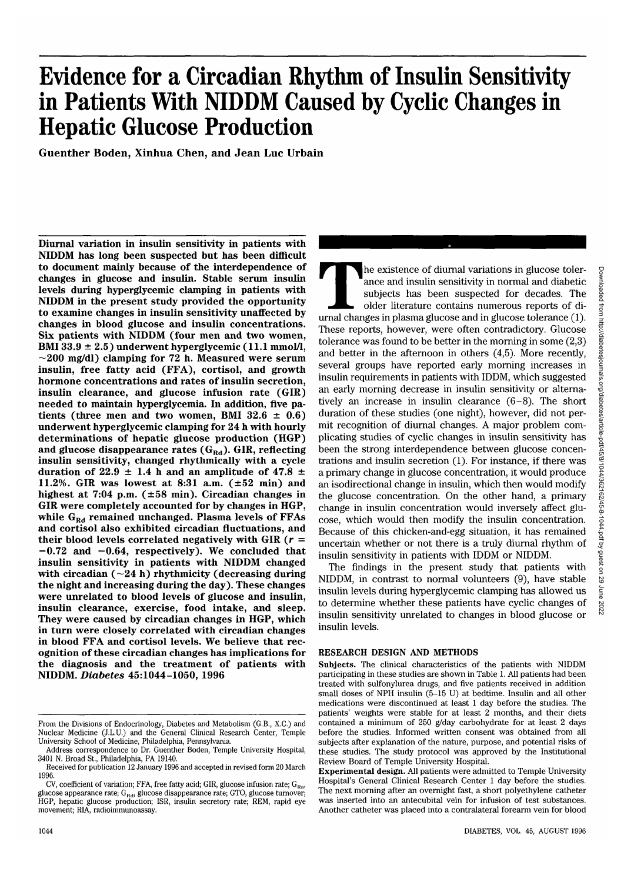# **Evidence for a Circadian Rhythm of Insulin Sensitivity in Patients With NIDDM Caused by Cyclic Changes in Hepatic Glucose Production**

**Guenther Boden, Xinhua Chen, and Jean Luc Urbain**

**Diurnal variation in insulin sensitivity in patients with NIDDM has long been suspected but has been difficult to document mainly because of the interdependence of changes in glucose and insulin. Stable serum insulin levels during hyperglycemic clamping in patients with NIDDM in the present study provided the opportunity to examine changes in insulin sensitivity unaffected by changes in blood glucose and insulin concentrations. Six patients with NIDDM (four men and two women,** BMI 33.9  $\pm$  2.5) underwent hyperglycemic (11.1 mmol/l, **—200 mg/dl) clamping for 72 h. Measured were serum insulin, free fatty acid (FFA), cortisol, and growth hormone concentrations and rates of insulin secretion, insulin clearance, and glucose infusion rate (GIR) needed to maintain hyperglycemia. In addition, five pa**tients (three men and two women, BMI  $32.6 \pm 0.6$ ) **underwent hyperglycemic clamping for 24 h with hourly determinations of hepatic glucose production (HGP)** and glucose disappearance rates (G<sub>Rd</sub>). GIR, reflecting **insulin sensitivity, changed rhythmically with a cycle** duration of  $22.9 \pm 1.4$  h and an amplitude of  $47.8 \pm 1.4$ **11.2%. GIR was lowest at 8:31 a.m. (±52 min) and highest at 7:04 p.m. (±58 min). Circadian changes in GIR were completely accounted for by changes in HGP,** while G<sub>Rd</sub> remained unchanged. Plasma levels of FFAs **and cortisol also exhibited circadian fluctuations, and their blood levels correlated negatively with GIR (r = -0.72 and -0.64, respectively). We concluded that insulin sensitivity in patients with NIDDM changed with circadian (—24 h) rhythmicity (decreasing during the night and increasing during the day). These changes were unrelated to blood levels of glucose and insulin, insulin clearance, exercise, food intake, and sleep. They were caused by circadian changes in HGP, which in turn were closely correlated with circadian changes in blood FFA and cortisol levels. We believe that recognition of these circadian changes has implications for the diagnosis and the treatment of patients with NIDDM.** *Diabetes* **45:1044-1050, 1996**

The existence of diurnal variations in glucose toler-<br>ance and insulin sensitivity in normal and diabetic<br>subjects has been suspected for decades. The<br>older literature contains numerous reports of di-<br>urnal changes in plas ance and insulin sensitivity in normal and diabetic subjects has been suspected for decades. The older literature contains numerous reports of di-These reports, however, were often contradictory. Glucose tolerance was found to be better in the morning in some (2,3) and better in the afternoon in others (4,5). More recently, several groups have reported early morning increases in insulin requirements in patients with IDDM, which suggested an early morning decrease in insulin sensitivity or alternatively an increase in insulin clearance (6-8). The short duration of these studies (one night), however, did not permit recognition of diurnal changes. A major problem complicating studies of cyclic changes in insulin sensitivity has been the strong interdependence between glucose concentrations and insulin secretion (1). For instance, if there was a primary change in glucose concentration, it would produce an isodirectional change in insulin, which then would modify the glucose concentration. On the other hand, a primary change in insulin concentration would inversely affect glucose, which would then modify the insulin concentration. Because of this chicken-and-egg situation, it has remained uncertain whether or not there is a truly diurnal rhythm of insulin sensitivity in patients with IDDM or NIDDM.

The findings in the present study that patients with NIDDM, in contrast to normal volunteers (9), have stable insulin levels during hyperglycemic clamping has allowed us to determine whether these patients have cyclic changes of insulin sensitivity unrelated to changes in blood glucose or insulin levels.

# RESEARCH DESIGN AND METHODS

**Subjects.** The clinical characteristics of the patients with NIDDM participating in these studies are shown in Table 1. All patients had been treated with sulfonylurea drugs, and five patients received in addition small doses of NPH insulin (5-15 U) at bedtime. Insulin and all other medications were discontinued at least 1 day before the studies. The patients' weights were stable for at least 2 months, and their diets contained a minimum of 250 g/day carbohydrate for at least 2 days before the studies. Informed written consent was obtained from all subjects after explanation of the nature, purpose, and potential risks of these studies. The study protocol was approved by the Institutional Review Board of Temple University Hospital.

From the Divisions of Endocrinology, Diabetes and Metabolism (G.B., X.C.) and Nuclear Medicine (J.L.U.) and the General Clinical Research Center, Temple University School of Medicine, Philadelphia, Pennsylvania.

Address correspondence to Dr. Guenther Boden, Temple University Hospital, 3401 N. Broad St., Philadelphia, PA 19140.

Received for publication 12 January 1996 and accepted in revised form 20 March 1996.

CV, coefficient of variation; FFA, free fatty acid; GIR, glucose infusion rate;  $G_{R_{0}}$ , glucose appearance rate;  $G_{\text{Rd}}$ , glucose disappearance rate; GTO, glucose turnover; HGP, hepatic glucose production; ISR, insulin secretory rate; REM, rapid eye movement; RIA, radioimmunoassay.

**Experimental design.** All patients were admitted to Temple University Hospital's General Clinical Research Center 1 day before the studies. The next morning after an overnight fast, a short polyethylene catheter was inserted into an antecubital vein for infusion of test substances. Another catheter was placed into a contralateral forearm vein for blood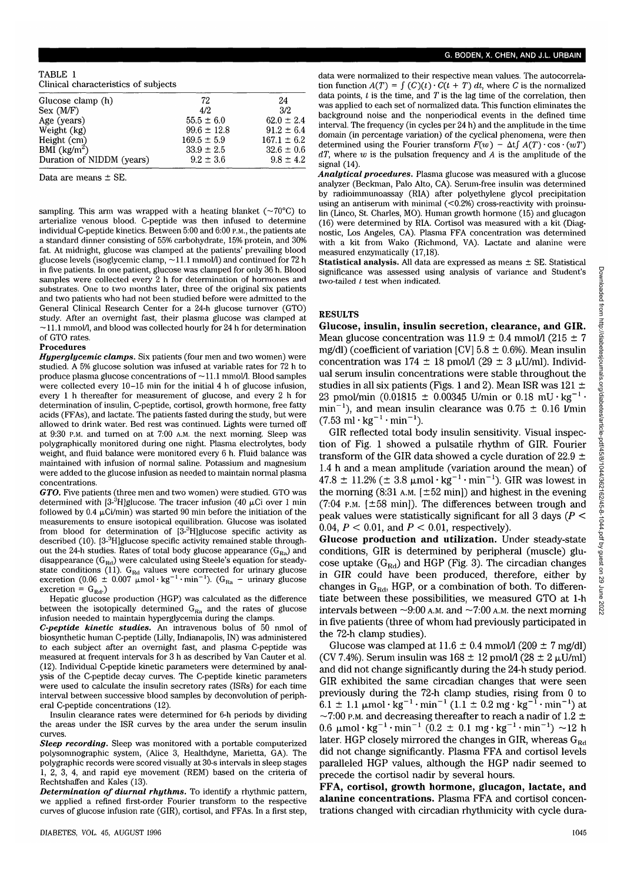| TABLE 1 |                                      |  |
|---------|--------------------------------------|--|
|         | Clinical characteristics of subjects |  |

| Glucose clamp (h)         | 72              | 24              |  |
|---------------------------|-----------------|-----------------|--|
| Sex (MF)                  | 4/2             | 3/2             |  |
| Age (years)               | $55.5 \pm 6.0$  | $62.0 \pm 2.4$  |  |
| Weight (kg)               | $99.6 \pm 12.8$ | $91.2 \pm 6.4$  |  |
| Height (cm)               | $169.5 \pm 5.9$ | $167.1 \pm 6.2$ |  |
| BMI $(kg/m^2)$            | $33.9 \pm 2.5$  | $32.6 \pm 0.6$  |  |
| Duration of NIDDM (years) | $9.2 \pm 3.6$   | $9.8 \pm 4.2$   |  |
|                           |                 |                 |  |

Data are means ± SE.

sampling. This arm was wrapped with a heating blanket  $({\sim}70^{\circ}C)$  to arterialize venous blood. C-peptide was then infused to determine individual C-peptide kinetics. Between 5:00 and 6:00 P.M., the patients ate a standard dinner consisting of 55% carbohydrate, 15% protein, and 30% fat. At midnight, glucose was clamped at the patients' prevailing blood glucose levels (isoglycemic clamp, —11.1 mmol/1) and continued for 72 h in five patients. In one patient, glucose was clamped for only 36 h. Blood samples were collected every 2 h for determination of hormones and substrates. One to two months later, three of the original six patients and two patients who had not been studied before were admitted to the General Clinical Research Center for a 24-h glucose turnover (GTO) study. After an overnight fast, their plasma glucose was clamped at  $\sim$ 11.1 mmol/1, and blood was collected hourly for 24 h for determination of GTO rates

#### **Procedures**

*Hyperglycemic clamps.* Six patients (four men and two women) were studied. A 5% glucose solution was infused at variable rates for 72 h to produce plasma glucose concentrations of  $\sim$ 11.1 mmol/l. Blood samples were collected every  $10-15$  min for the initial 4 h of glucose infusion, every 1 h thereafter for measurement of glucose, and every 2 h for determination of insulin, C-peptide, cortisol, growth hormone, free fatty acids (FFAs), and lactate. The patients fasted during the study, but were allowed to drink water. Bed rest was continued. Lights were turned off at 9:30 P.M. and turned on at 7:00 A.M. the next morning. Sleep was polygraphically monitored during one night. Plasma electrolytes, body weight, and fluid balance were monitored every 6 h. Fluid balance was maintained with infusion of normal saline. Potassium and magnesium were added to the glucose infusion as needed to maintain normal plasma concentrations.

*GTO.* Five patients (three men and two women) were studied. GTO was determined with  $[3^{3}H]$ glucose. The tracer infusion (40 µCi over 1 min followed by 0.4  $\mu$ Ci/min) was started 90 min before the initiation of the measurements to ensure isotopical equilibration. Glucose was isolated from blood for determination of [3<sup>.3</sup>H]glucose specific activity as described (10). [3-3 H]glucose specific activity remained stable throughout the 24-h studies. Rates of total body glucose appearance  $(G_{Ra})$  and disappearance  $(G<sub>kd</sub>)$  were calculated using Steele's equation for steadystate conditions (11).  $G_{\text{Rd}}$  values were corrected for urinary glucose excretion (0.06  $\pm$  0.007  $\mu$ mol·kg<sup>-1</sup>·min<sup>-1</sup>). (G<sub>Ra</sub> – urinary glucose excretion = G<sub>Rd</sub>.)

excretion =  $G_{\text{Rd}}$ )<br>Hepatic glucose production (HGP) was calculated as the difference between the isotopically determined  $G_{Ra}$  and the rates of glucose infusion needed to maintain hyperglycemia during the clamps.

*C-peptide kinetic studies.* An intravenous bolus of 50 nmol of biosynthetic human C-peptide (Lilly, Indianapolis, IN) was administered to each subject after an overnight fast, and plasma C-peptide was measured at frequent intervals for 3 h as described by Van Cauter et al. (12). Individual C-peptide kinetic parameters were determined by analysis of the C-peptide decay curves. The C-peptide kinetic parameters were used to calculate the insulin secretory rates (ISRs) for each time interval between successive blood samples by deconvolution of peripheral C-peptide concentrations (12).

Insulin clearance rates were determined for 6-h periods by dividing the areas under the ISR curves by the area under the serum insulin curves.

*Sleep recording.* Sleep was monitored with a portable computerized polysomnographic system, (Alice 3, Healthdyne, Marietta, GA). The polygraphic records were scored visually at 30-s intervals in sleep stages 1, 2, 3, 4, and rapid eye movement (REM) based on the criteria of Rechtshaffen and Kales (13).

*Determination of diurnal rhythms.* To identify a rhythmic pattern, we applied a refined first-order Fourier transform to the respective curves of glucose infusion rate (GIR), cortisol, and FFAs. In a first step, data were normalized to their respective mean values. The autocorrelation function  $A(T) = \int (C)(t) \cdot C(t + T) dt$ , where *C* is the normalized data points, *t* is the time, and *T* is the lag time of the correlation, then was applied to each set of normalized data. This function eliminates the background noise and the nonperiodical events in the defined time interval. The frequency (in cycles per 24 h) and the amplitude in the time domain (in percentage variation) of the cyclical phenomena, were then determined using the Fourier transform  $F(w) - \Delta t \int A(T) \cdot \cos \cdot (wT)$ *dT,* where *iv* is the pulsation frequency and *A* is the amplitude of the signal (14).

*Analytical procedures.* Plasma glucose was measured with a glucose analyzer (Beckman, Palo Alto, CA). Serum-free insulin was determined by radioimmunoassay (RIA) after polyethylene glycol precipitation using an antiserum with minimal  $(< 0.2\%)$  cross-reactivity with proinsulin (Linco, St. Charles, MO). Human growth hormone (15) and glucagon (16) were determined by RIA. Cortisol was measured with a kit (Diagnostic, Los Angeles, CA). Plasma FFA concentration was determined with a kit from Wako (Richmond, VA). Lactate and alanine were measured enzymatically (17,18).

**Statistical analysis.** All data are expressed as means ± SE. Statistical significance was assessed using analysis of variance and Student's two-tailed *I* test when indicated.

# **RESULTS**

**Glucose, insulin, insulin secretion, clearance, and GIR.** Mean glucose concentration was  $11.9 \pm 0.4$  mmol/l (215  $\pm$  7) mg/dl) (coefficient of variation [CV]  $5.8 \pm 0.6$ %). Mean insulin concentration was 174  $\pm$  18 pmol/1 (29  $\pm$  3  $\mu$ U/ml). Individual serum insulin concentrations were stable throughout the studies in all six patients (Figs. 1 and 2). Mean ISR was  $121 \pm$ 23 pmol/min (0.01815  $\pm$  0.00345 U/min or 0.18 mU $\cdot$ kg<sup>-1</sup> $\cdot$  $min^{-1}$ ), and mean insulin clearance was  $0.75 \pm 0.16$  l/min  $(7.53 \text{ ml} \cdot \text{kg}^{-1} \cdot \text{min}^{-1}).$ 

GIR reflected total body insulin sensitivity. Visual inspection of Fig. 1 showed a pulsatile rhythm of GIR. Fourier transform of the GIR data showed a cycle duration of 22.9  $\pm$ 1.4 h and a mean amplitude (variation around the mean) of  $47.8 \pm 11.2\%$  ( $\pm 3.8 \mu$ mol·kg<sup>-1</sup>·min<sup>-1</sup>). GIR was lowest in the morning  $(8:31 \text{ A.M. } [\pm 52 \text{ min}])$  and highest in the evening (7:04 P.M.  $[\pm 58 \text{ min}]$ ). The differences between trough and peak values were statistically significant for all 3 days *(P <* 0.04, *P <* 0.01, and *P <* 0.01, respectively).

**Glucose production and utilization.** Under steady-state conditions, GIR is determined by peripheral (muscle) glucose uptake  $(G_{\text{Rd}})$  and HGP (Fig. 3). The circadian changes in GIR could have been produced, therefore, either by changes in  $G_{\text{Rd}}$ , HGP, or a combination of both. To differentiate between these possibilities, we measured GTO at 1-h intervals between  $\sim$ 9:00 A.M. and  $\sim$ 7:00 A.M. the next morning in five patients (three of whom had previously participated in the 72-h clamp studies).

Glucose was clamped at  $11.6 \pm 0.4$  mmol/l (209  $\pm$  7 mg/dl) (CV 7.4%). Serum insulin was  $168 \pm 12$  pmol/1 (28  $\pm$  2  $\mu$ U/ml) and did not change significantly during the 24-h study period. GIR exhibited the same circadian changes that were seen previously during the 72-h clamp studies, rising from 0 to  $6.1 \pm 1.1 \mu$ mol·kg<sup>-1</sup>·min<sup>-1</sup> (1.1 ± 0.2 mg·kg<sup>-1</sup>·min<sup>-1</sup>) at  $\sim$  7:00 p.m. and decreasing thereafter to reach a nadir of 1.2  $\pm$  $0.6 \mu$ mol·kg<sup>-1</sup>·min<sup>-1</sup>  $(0.2 \pm 0.1 \text{ mg} \cdot \text{kg}^{-1} \cdot \text{min}^{-1}) \sim 12 \text{ h}$ later. HGP closely mirrored the changes in GIR, whereas  $G_{\text{Rd}}$ did not change significantly. Plasma FFA and cortisol levels paralleled HGP values, although the HGP nadir seemed to precede the cortisol nadir by several hours.

**FFA, cortisol, growth hormone, glucagon, lactate, and alanine concentrations.** Plasma FFA and cortisol concentrations changed with circadian rhythmicity with cycle dura-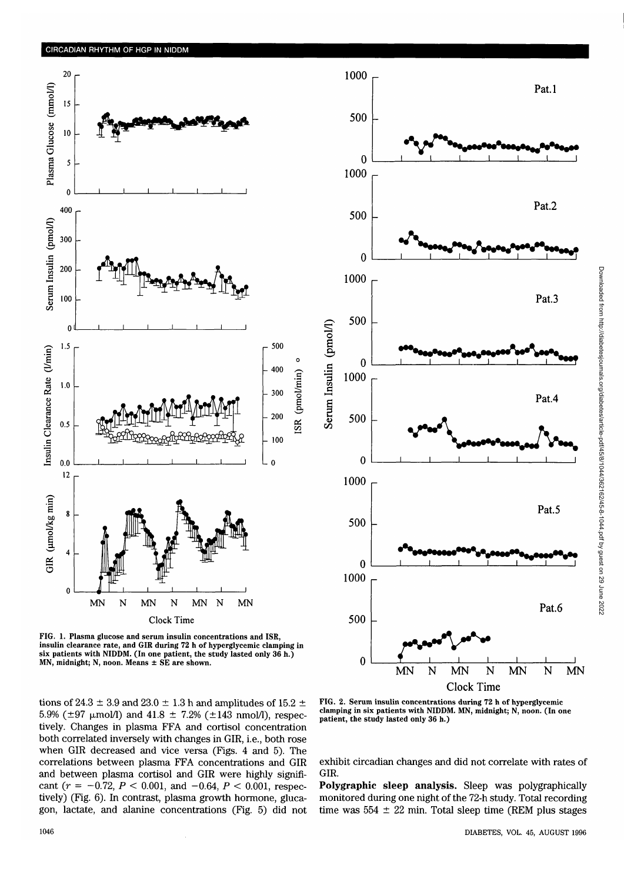

FIG. 1. Plasma glucose and serum insulin concentrations and ISR, insulin clearance rate, and GIR during 72 h of hyperglycemic clamping in six patients with NIDDM. (In one patient, the study lasted only 36 h.) MN, midnight; N, noon. Means ± SE are shown.

tions of 24.3  $\pm$  3.9 and 23.0  $\pm$  1.3 h and amplitudes of 15.2  $\pm$ 5.9% ( $\pm$ 97  $\mu$ mol/l) and 41.8  $\pm$  7.2% ( $\pm$ 143 nmol/l), respectively. Changes in plasma FFA and cortisol concentration both correlated inversely with changes in GIR, i.e., both rose when GIR decreased and vice versa (Figs. 4 and 5). The correlations between plasma FFA concentrations and GIR and between plasma cortisol and GIR were highly significant ( $r = -0.72$ ,  $P < 0.001$ , and  $-0.64$ ,  $P < 0.001$ , respectively) (Fig. 6). In contrast, plasma growth hormone, glucagon, lactate, and alanine concentrations (Fig. 5) did not



FIG. 2. Serum insulin concentrations during 72 h of hyperglycemic clamping in six patients with NIDDM. MN, midnight; N, noon. (In one patient, the study lasted only 36 h.)

exhibit circadian changes and did not correlate with rates of GIR.

**Polygraphic sleep analysis.** Sleep was polygraphically monitored during one night of the 72-h study. Total recording time was  $554 \pm 22$  min. Total sleep time (REM plus stages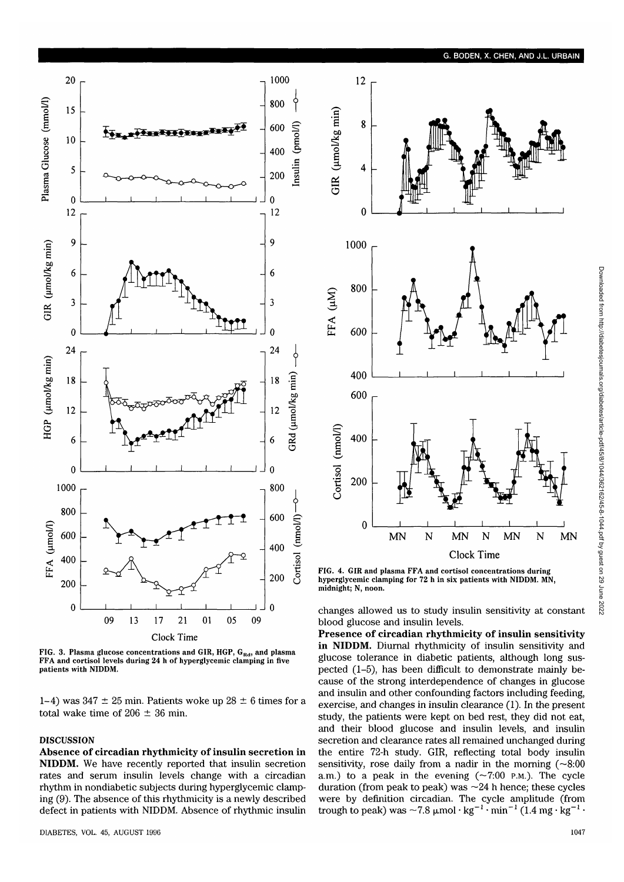

FIG. 3. Plasma glucose concentrations and GIR, HGP,  $G_{Rd}$ , and plasma FFA and cortisol levels during 24 h of hyperglycemic clamping in five patients with NIDDM.

1-4) was  $347 \pm 25$  min. Patients woke up  $28 \pm 6$  times for a total wake time of 206  $\pm$  36 min.

# **DISCUSSION**

**Absence of circadian rhythmicity of insulin secretion in NIDDM.** We have recently reported that insulin secretion rates and serum insulin levels change with a circadian rhythm in nondiabetic subjects during hyperglycemic clamping (9). The absence of this rhythmicity is a newly described defect in patients with NIDDM. Absence of rhythmic insulin



hyperglycemic clamping for 72 h in six patients with NIDDM. MN, midnight; N, noon.

changes allowed us to study insulin sensitivity at constant blood glucose and insulin levels.

**Presence of circadian rhythmicity of insulin sensitivity in NIDDM.** Diurnal rhythmicity of insulin sensitivity and glucose tolerance in diabetic patients, although long suspected (1-5), has been difficult to demonstrate mainly because of the strong interdependence of changes in glucose and insulin and other confounding factors including feeding, exercise, and changes in insulin clearance (1). In the present study, the patients were kept on bed rest, they did not eat, and their blood glucose and insulin levels, and insulin secretion and clearance rates all remained unchanged during the entire 72-h study. GIR, reflecting total body insulin sensitivity, rose daily from a nadir in the morning  $(\sim 8.00$ a.m.) to a peak in the evening  $(\sim 7:00 \text{ P.M.})$ . The cycle duration (from peak to peak) was  $\sim$  24 h hence; these cycles were by definition circadian. The cycle amplitude (from trough to peak) was  $\sim 7.8 \text{ µmol} \cdot \text{kg}^{-1} \cdot \text{min}^{-1} (1.4 \text{ mg} \cdot \text{kg}^{-1} \cdot$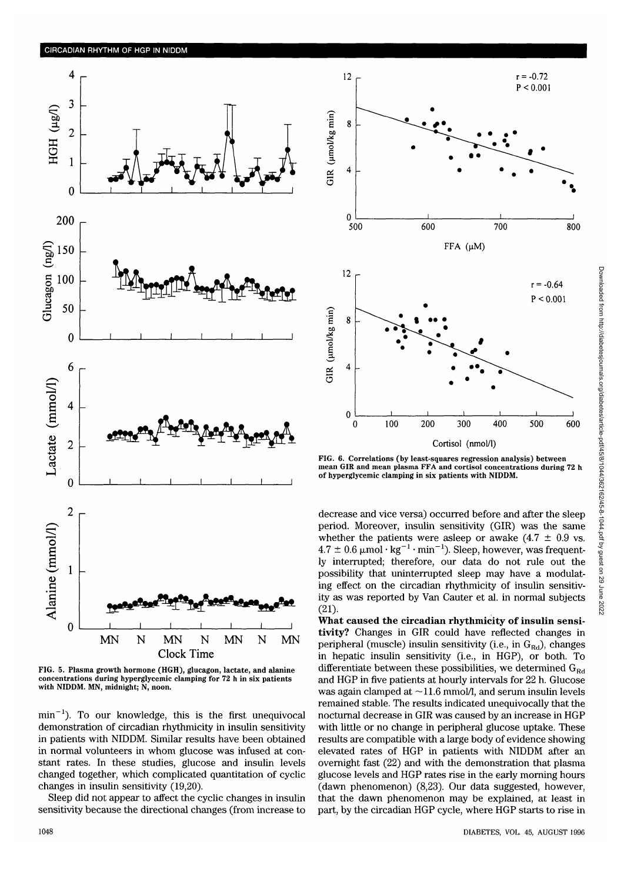

FIG. 5. Plasma growth hormone (HGH), glucagon, lactate, and alanine concentrations during hyperglycemic clamping for 72 h in six patients with NIDDM. MN, midnight; N, noon.

 $min^{-1}$ ). To our knowledge, this is the first unequivocal demonstration of circadian rhythmicity in insulin sensitivity in patients with NIDDM. Similar results have been obtained in normal volunteers in whom glucose was infused at constant rates. In these studies, glucose and insulin levels changed together, which complicated quantitation of cyclic changes in insulin sensitivity (19,20).

Sleep did not appear to affect the cyclic changes in insulin sensitivity because the directional changes (from increase to



FIG. 6. Correlations (by least-squares regression analysis) between mean GIR and mean plasma FFA and cortisol concentrations during 72 h of hyperglycemic clamping in six patients with NIDDM.

decrease and vice versa) occurred before and after the sleep period. Moreover, insulin sensitivity (GIR) was the same whether the patients were asleep or awake  $(4.7 \pm 0.9 \text{ vs.})$  $4.7 \pm 0.6 \mu$ mol·kg<sup>-1</sup>·min<sup>-1</sup>). Sleep, however, was frequently interrupted; therefore, our data do not rule out the possibility that uninterrupted sleep may have a modulating effect on the circadian rhythmicity of insulin sensitivity as was reported by Van Cauter et al. in normal subjects (21).

**What caused the circadian rhythmicity of insulin sensitivity?** Changes in GIR could have reflected changes in peripheral (muscle) insulin sensitivity (i.e., in  $G_{\text{Rd}}$ ), changes in hepatic insulin sensitivity (i.e., in HGP), or both. To differentiate between these possibilities, we determined  $G_{\text{Rd}}$ and HGP in five patients at hourly intervals for 22 h. Glucose was again clamped at  $\sim$ 11.6 mmol/l, and serum insulin levels remained stable. The results indicated unequivocally that the nocturnal decrease in GIR was caused by an increase in HGP with little or no change in peripheral glucose uptake. These results are compatible with a large body of evidence showing elevated rates of HGP in patients with NIDDM after an overnight fast (22) and with the demonstration that plasma glucose levels and HGP rates rise in the early morning hours (dawn phenomenon) (8,23). Our data suggested, however, that the dawn phenomenon may be explained, at least in part, by the circadian HGP cycle, where HGP starts to rise in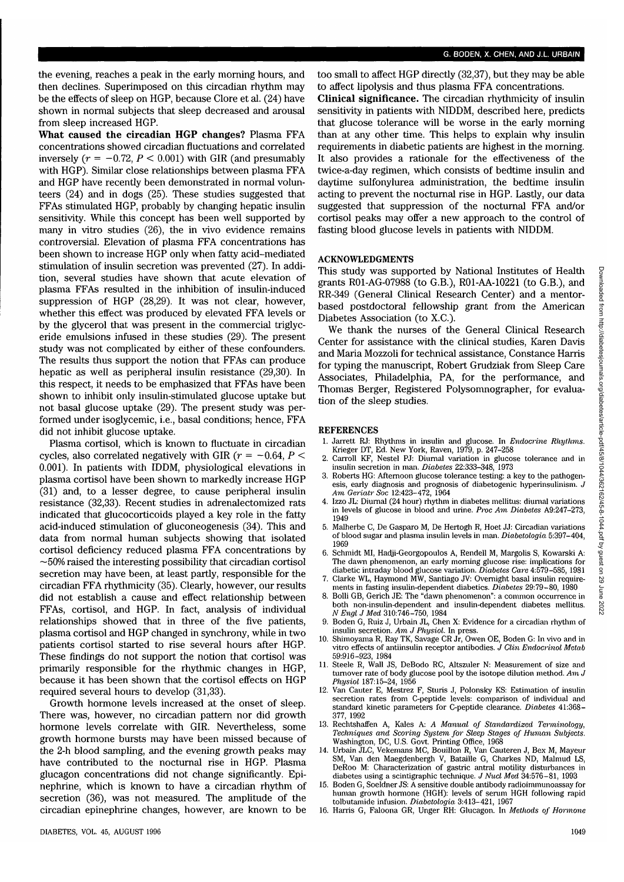the evening, reaches a peak in the early morning hours, and then declines. Superimposed on this circadian rhythm may be the effects of sleep on HGP, because Clore et al. (24) have shown in normal subjects that sleep decreased and arousal from sleep increased HGP.

**I**

**What caused the circadian HGP changes?** Plasma FFA concentrations showed circadian fluctuations and correlated inversely  $(r = -0.72, P < 0.001)$  with GIR (and presumably with HGP). Similar close relationships between plasma FFA and HGP have recently been demonstrated in normal volunteers (24) and in dogs (25). These studies suggested that FFAs stimulated HGP, probably by changing hepatic insulin sensitivity. While this concept has been well supported by many in vitro studies (26), the in vivo evidence remains controversial. Elevation of plasma FFA concentrations has been shown to increase HGP only when fatty acid-mediated stimulation of insulin secretion was prevented (27). In addition, several studies have shown that acute elevation of plasma FFAs resulted in the inhibition of insulin-induced suppression of HGP (28,29). It was not clear, however, whether this effect was produced by elevated FFA levels or by the glycerol that was present in the commercial triglyceride emulsions infused in these studies (29). The present study was not complicated by either of these confounders. The results thus support the notion that FFAs can produce hepatic as well as peripheral insulin resistance (29,30). In this respect, it needs to be emphasized that FFAs have been shown to inhibit only insulin-stimulated glucose uptake but not basal glucose uptake (29). The present study was performed under isoglycemic, i.e., basal conditions; hence, FFA did not inhibit glucose uptake.

Plasma cortisol, which is known to fluctuate in circadian cycles, also correlated negatively with GIR (r = -0.64, *P <* 0.001). In patients with IDDM, physiological elevations in plasma cortisol have been shown to markedly increase HGP (31) and, to a lesser degree, to cause peripheral insulin resistance (32,33). Recent studies in adrenalectomized rats indicated that glucocorticoids played a key role in the fatty acid-induced stimulation of gluconeogenesis (34). This and data from normal human subjects showing that isolated cortisol deficiency reduced plasma FFA concentrations by  $\sim$  50% raised the interesting possibility that circadian cortisol secretion may have been, at least partly, responsible for the circadian FFA rhythmicity (35). Clearly, however, our results did not establish a cause and effect relationship between FFAs, cortisol, and HGP. In fact, analysis of individual relationships showed that in three of the five patients, plasma cortisol and HGP changed in synchrony, while in two patients cortisol started to rise several hours after HGP. These findings do not support the notion that cortisol was primarily responsible for the rhythmic changes in HGP, because it has been shown that the cortisol effects on HGP required several hours to develop (31,33).

Growth hormone levels increased at the onset of sleep. There was, however, no circadian pattern nor did growth hormone levels correlate with GIR. Nevertheless, some growth hormone bursts may have been missed because of the 2-h blood sampling, and the evening growth peaks may have contributed to the nocturnal rise in HGP. Plasma glucagon concentrations did not change significantly. Epinephrine, which is known to have a circadian rhythm of secretion (36), was not measured. The amplitude of the circadian epinephrine changes, however, are known to be too small to affect HGP directly (32,37), but they may be able to affect lipolysis and thus plasma FFA concentrations.

**Clinical significance.** The circadian rhythmicity of insulin sensitivity in patients with NIDDM, described here, predicts that glucose tolerance will be worse in the early morning than at any other time. This helps to explain why insulin requirements in diabetic patients are highest in the morning. It also provides a rationale for the effectiveness of the twice-a-day regimen, which consists of bedtime insulin and daytime sulfonylurea administration, the bedtime insulin acting to prevent the nocturnal rise in HGP. Lastly, our data suggested that suppression of the nocturnal FFA and/or cortisol peaks may offer a new approach to the control of fasting blood glucose levels in patients with NIDDM.

# ACKNOWLEDGMENTS

This study was supported by National Institutes of Health grants R01-AG-07988 (to G.B.), R01-AA-10221 (to G.B.), and RR-349 (General Clinical Research Center) and a mentorbased postdoctoral fellowship grant from the American Diabetes Association (to X.C.).

We thank the nurses of the General Clinical Research Center for assistance with the clinical studies, Karen Davis and Maria Mozzoli for technical assistance, Constance Harris for typing the manuscript, Robert Grudziak from Sleep Care Associates, Philadelphia, PA, for the performance, and Thomas Berger, Registered Polysomnographer, for evaluation of the sleep studies.

### **REFERENCES**

- 1. Jarrett RJ: Rhythms in insulin and glucose. In *Endocrine Rhythms.*
- Krieger DT, Ed. New York, Raven, 1979, p. 247-258 2. Carroll KF, Nestel PJ: Diurnal variation in glucose tolerance and in
- insulin secretion in man. *Diabetes* 22:333-348, 1973 3. Roberts HG: Afternoon glucose tolerance testing: a key to the pathogenesis, early diagnosis and prognosis of diabetogenic hyperinsulinism. *J*
- *Am Geriatr Soc* 12:423-472, 1964 4. Izzo JL: Diurnal (24 hour) rhythm in diabetes mellitus: diurnal variations in levels of glucose in blood and urine. *Proc Am Diabetes* A9:247-273, 1949
- 5. Malherbe C, De Gasparo M, De Hertogh R, Hoet JJ: Circadian variations of blood sugar and plasma insulin levels in man. *Diabetologia,* 5:397-404, 1969
- 6. Schmidt MI, Hadji-Georgopoulos A, Rendell M, Margolis S, Kowarski A: The dawn phenomenon, an early morning glucose rise: implications for diabetic intraday blood glucose variation. *Diabetes Care* 4:579-585, 1981
- 7. Clarke WL, Haymond MW, Santiago JV: Overnight basal insulin requirements in fasting insulin-dependent diabetics. *Diabetes* 29:79-80, 1980
- 8. Bolli GB, Gerich JE: The "dawn phenomenon": a common occurrence in both non-insulin-dependent and insulin-dependent diabetes mellitus. *N Engl J Med* 310:746-750, 1984
- Boden G, Ruiz J, Urbain JL, Chen X: Evidence for a circadian rhythm of insulin secretion. *Am J Physiol.* In press.
- 10. Shimoyama R, Ray TK, Savage CR Jr, Owen OE, Boden G: In vivo and in vitro effects of antiinsulin receptor antibodies. *J Clin Endocrinol Metab* 59:916-923, 1984
- Steele R, Wall JS, DeBodo RC, Altszuler N: Measurement of size and turnover rate of body glucose pool by the isotope dilution method. *Am J Physiol* 187:15-24, 1956
- 12. Van Cauter E, Mestrez F, Sturis J, Polonsky KS: Estimation of insulin secretion rates from C-peptide levels: comparison of individual and standard kinetic parameters for C-peptide clearance. *Diabetes* 41:368- 377, 1992
- 13. Rechtshaffen A, Kales A: *A Manual of Standardized Terminology, Techniques and Scoring System for Sleep Stages of Human Subjects.* Washington, DC, U.S. Govt. Printing Office, 1968
- 14. Urbain JLC, Vekemans MC, Bouillon R, Van Cauteren J, Bex M, Mayeur SM, Van den Maegdenbergh V, Bataille G, Charkes ND, Malmud LS, DeRoo M: Characterization of gastric antral motility disturbances in diabetes using a scintigraphic technique. *J Nucl Med* 34:576-81, 1993
- 15. Boden G, Soeldner JS: A sensitive double antibody radioimmunoassay for human growth hormone (HGH): levels of serum HGH following rapid tolbutamide infusion. *Diabetologia* 3:413-421, 1967
- 16. Harris G, Faloona GR, Unger RH: Glucagon. In *Methods of Hormone*